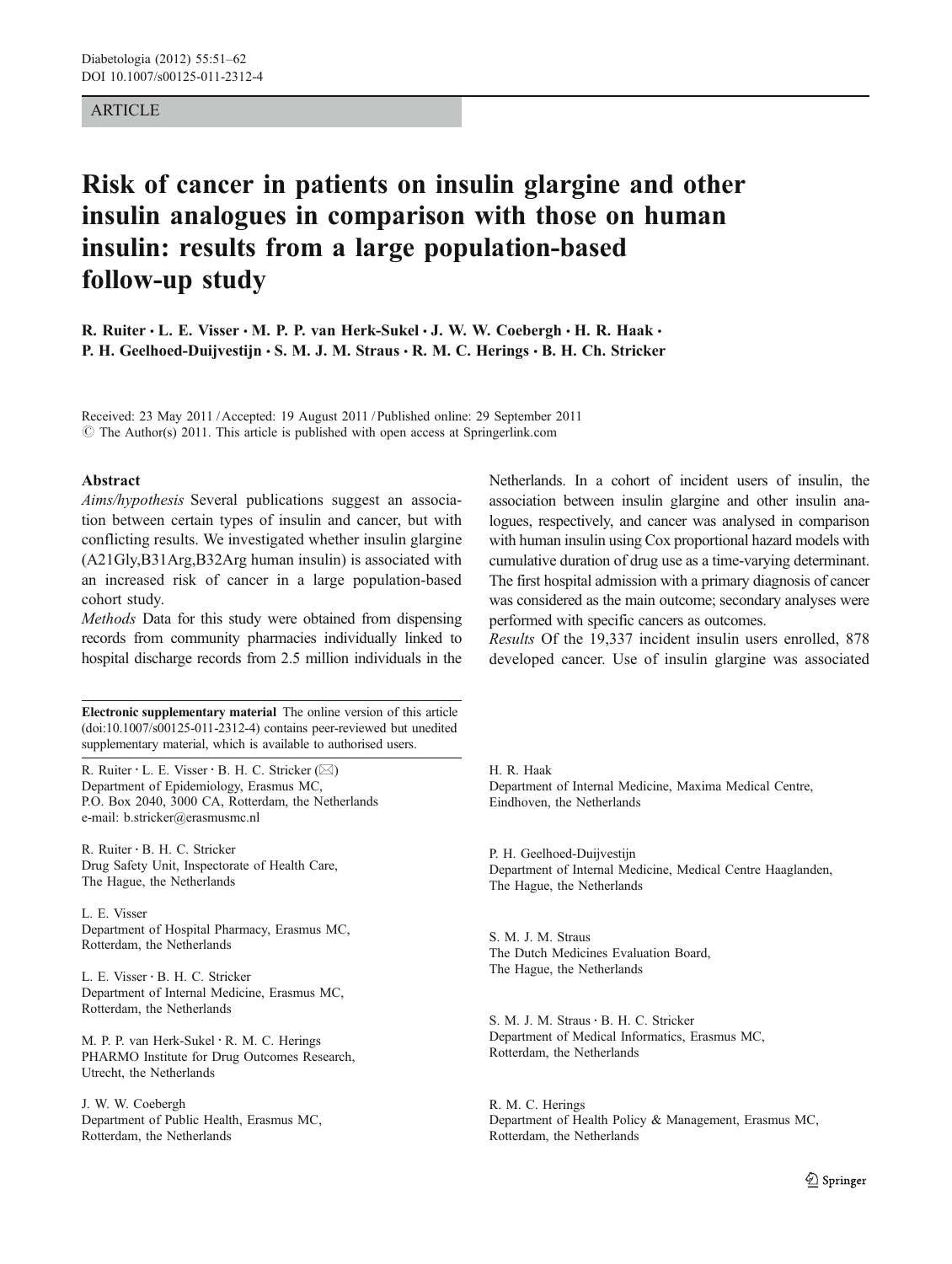### ARTICLE

# Risk of cancer in patients on insulin glargine and other insulin analogues in comparison with those on human insulin: results from a large population-based follow-up study

R. Ruiter · L. E. Visser · M. P. P. van Herk-Sukel · J. W. W. Coebergh · H. R. Haak · P. H. Geelhoed-Duijvestijn · S. M. J. M. Straus · R. M. C. Herings · B. H. Ch. Stricker

Received: 23 May 2011 /Accepted: 19 August 2011 / Published online: 29 September 2011  $\odot$  The Author(s) 2011. This article is published with open access at Springerlink.com

#### Abstract

Aims/hypothesis Several publications suggest an association between certain types of insulin and cancer, but with conflicting results. We investigated whether insulin glargine (A21Gly,B31Arg,B32Arg human insulin) is associated with an increased risk of cancer in a large population-based cohort study.

Methods Data for this study were obtained from dispensing records from community pharmacies individually linked to hospital discharge records from 2.5 million individuals in the

Electronic supplementary material The online version of this article (doi[:10.1007/s00125-011-2312-4\)](http://dx.doi.org/10.1007/s00125-011-2312-4) contains peer-reviewed but unedited supplementary material, which is available to authorised users.

R. Ruiter  $\cdot$  L. E. Visser  $\cdot$  B. H. C. Stricker ( $\boxtimes$ ) Department of Epidemiology, Erasmus MC, P.O. Box 2040, 3000 CA, Rotterdam, the Netherlands e-mail: b.stricker@erasmusmc.nl

R. Ruiter : B. H. C. Stricker Drug Safety Unit, Inspectorate of Health Care, The Hague, the Netherlands

L. E. Visser Department of Hospital Pharmacy, Erasmus MC, Rotterdam, the Netherlands

L. E. Visser : B. H. C. Stricker Department of Internal Medicine, Erasmus MC, Rotterdam, the Netherlands

M. P. P. van Herk-Sukel : R. M. C. Herings PHARMO Institute for Drug Outcomes Research, Utrecht, the Netherlands

J. W. W. Coebergh Department of Public Health, Erasmus MC, Rotterdam, the Netherlands

Netherlands. In a cohort of incident users of insulin, the association between insulin glargine and other insulin analogues, respectively, and cancer was analysed in comparison with human insulin using Cox proportional hazard models with cumulative duration of drug use as a time-varying determinant. The first hospital admission with a primary diagnosis of cancer was considered as the main outcome; secondary analyses were performed with specific cancers as outcomes.

Results Of the 19,337 incident insulin users enrolled, 878 developed cancer. Use of insulin glargine was associated

H. R. Haak Department of Internal Medicine, Maxima Medical Centre, Eindhoven, the Netherlands

P. H. Geelhoed-Duijvestijn Department of Internal Medicine, Medical Centre Haaglanden, The Hague, the Netherlands

S. M. J. M. Straus The Dutch Medicines Evaluation Board, The Hague, the Netherlands

S. M. J. M. Straus · B. H. C. Stricker Department of Medical Informatics, Erasmus MC, Rotterdam, the Netherlands

R. M. C. Herings Department of Health Policy & Management, Erasmus MC, Rotterdam, the Netherlands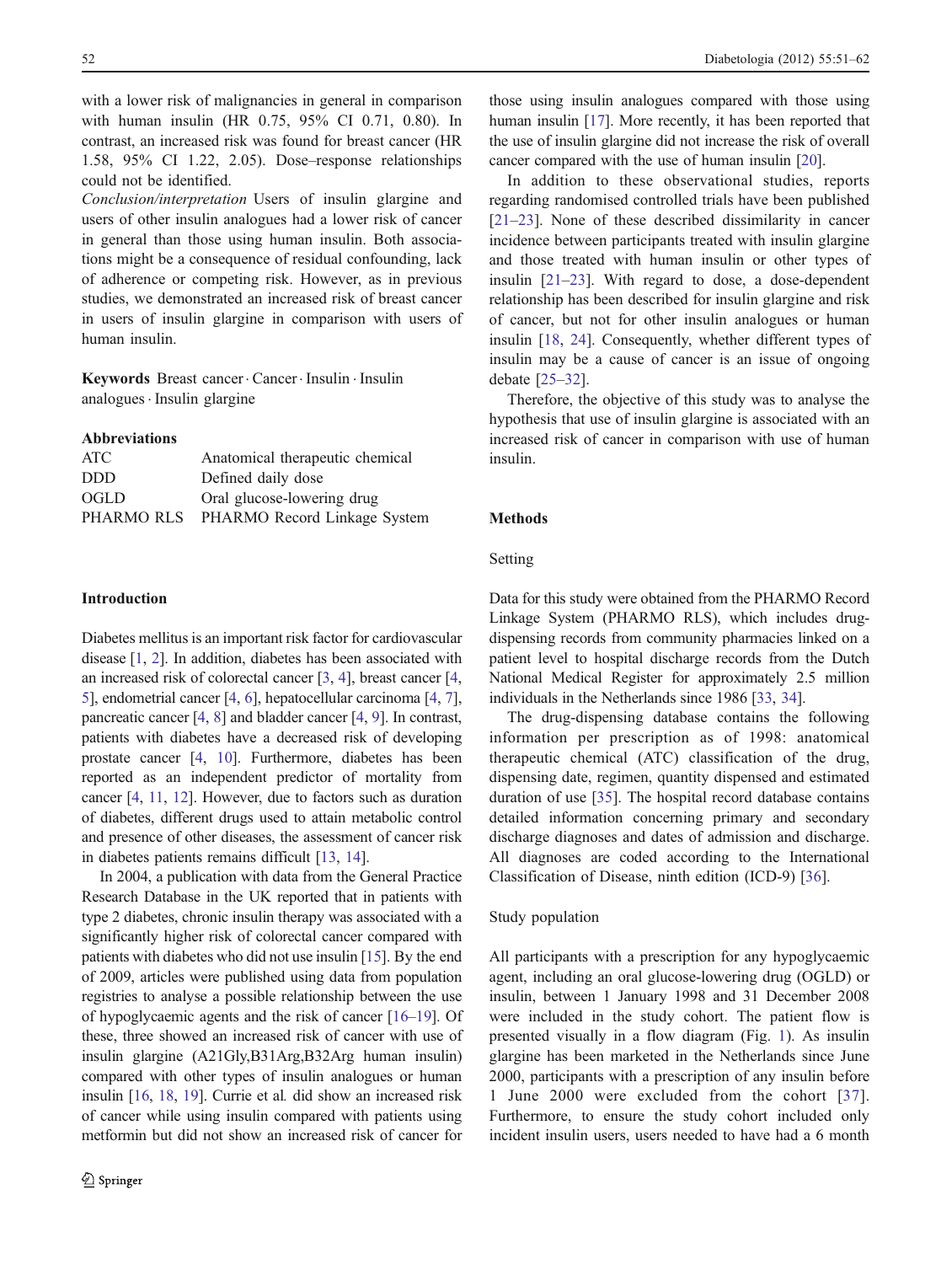with a lower risk of malignancies in general in comparison with human insulin (HR 0.75, 95% CI 0.71, 0.80). In contrast, an increased risk was found for breast cancer (HR 1.58, 95% CI 1.22, 2.05). Dose–response relationships could not be identified.

Conclusion/interpretation Users of insulin glargine and users of other insulin analogues had a lower risk of cancer in general than those using human insulin. Both associations might be a consequence of residual confounding, lack of adherence or competing risk. However, as in previous studies, we demonstrated an increased risk of breast cancer in users of insulin glargine in comparison with users of human insulin.

Keywords Breast cancer. Cancer. Insulin . Insulin analogues · Insulin glargine

#### Abbreviations

| ATC.       | Anatomical therapeutic chemical |
|------------|---------------------------------|
| DDD.       | Defined daily dose              |
| OGLD       | Oral glucose-lowering drug      |
| PHARMO RLS | PHARMO Record Linkage System    |

# Introduction

Diabetes mellitus is an important risk factor for cardiovascular disease [[1](#page-10-0), [2\]](#page-10-0). In addition, diabetes has been associated with an increased risk of colorectal cancer [[3,](#page-10-0) [4\]](#page-10-0), breast cancer [[4,](#page-10-0) [5\]](#page-10-0), endometrial cancer [\[4](#page-10-0), [6\]](#page-10-0), hepatocellular carcinoma [[4,](#page-10-0) [7\]](#page-10-0), pancreatic cancer [[4,](#page-10-0) [8](#page-10-0)] and bladder cancer [\[4,](#page-10-0) [9\]](#page-10-0). In contrast, patients with diabetes have a decreased risk of developing prostate cancer [\[4,](#page-10-0) [10](#page-10-0)]. Furthermore, diabetes has been reported as an independent predictor of mortality from cancer [\[4](#page-10-0), [11](#page-10-0), [12\]](#page-10-0). However, due to factors such as duration of diabetes, different drugs used to attain metabolic control and presence of other diseases, the assessment of cancer risk in diabetes patients remains difficult [[13](#page-10-0), [14\]](#page-10-0).

In 2004, a publication with data from the General Practice Research Database in the UK reported that in patients with type 2 diabetes, chronic insulin therapy was associated with a significantly higher risk of colorectal cancer compared with patients with diabetes who did not use insulin [\[15\]](#page-10-0). By the end of 2009, articles were published using data from population registries to analyse a possible relationship between the use of hypoglycaemic agents and the risk of cancer [[16](#page-10-0)–[19](#page-10-0)]. Of these, three showed an increased risk of cancer with use of insulin glargine (A21Gly,B31Arg,B32Arg human insulin) compared with other types of insulin analogues or human insulin [[16](#page-10-0), [18,](#page-10-0) [19](#page-10-0)]. Currie et al. did show an increased risk of cancer while using insulin compared with patients using metformin but did not show an increased risk of cancer for

those using insulin analogues compared with those using human insulin [[17\]](#page-10-0). More recently, it has been reported that the use of insulin glargine did not increase the risk of overall cancer compared with the use of human insulin [[20](#page-10-0)].

In addition to these observational studies, reports regarding randomised controlled trials have been published [\[21](#page-10-0)–[23](#page-10-0)]. None of these described dissimilarity in cancer incidence between participants treated with insulin glargine and those treated with human insulin or other types of insulin [[21](#page-10-0)–[23\]](#page-10-0). With regard to dose, a dose-dependent relationship has been described for insulin glargine and risk of cancer, but not for other insulin analogues or human insulin [\[18](#page-10-0), [24\]](#page-10-0). Consequently, whether different types of insulin may be a cause of cancer is an issue of ongoing debate [\[25](#page-10-0)–[32](#page-10-0)].

Therefore, the objective of this study was to analyse the hypothesis that use of insulin glargine is associated with an increased risk of cancer in comparison with use of human insulin.

#### Methods

#### Setting

Data for this study were obtained from the PHARMO Record Linkage System (PHARMO RLS), which includes drugdispensing records from community pharmacies linked on a patient level to hospital discharge records from the Dutch National Medical Register for approximately 2.5 million individuals in the Netherlands since 1986 [\[33](#page-10-0), [34\]](#page-10-0).

The drug-dispensing database contains the following information per prescription as of 1998: anatomical therapeutic chemical (ATC) classification of the drug, dispensing date, regimen, quantity dispensed and estimated duration of use [\[35](#page-10-0)]. The hospital record database contains detailed information concerning primary and secondary discharge diagnoses and dates of admission and discharge. All diagnoses are coded according to the International Classification of Disease, ninth edition (ICD-9) [\[36](#page-10-0)].

#### Study population

All participants with a prescription for any hypoglycaemic agent, including an oral glucose-lowering drug (OGLD) or insulin, between 1 January 1998 and 31 December 2008 were included in the study cohort. The patient flow is presented visually in a flow diagram (Fig. [1\)](#page-2-0). As insulin glargine has been marketed in the Netherlands since June 2000, participants with a prescription of any insulin before 1 June 2000 were excluded from the cohort [[37](#page-10-0)]. Furthermore, to ensure the study cohort included only incident insulin users, users needed to have had a 6 month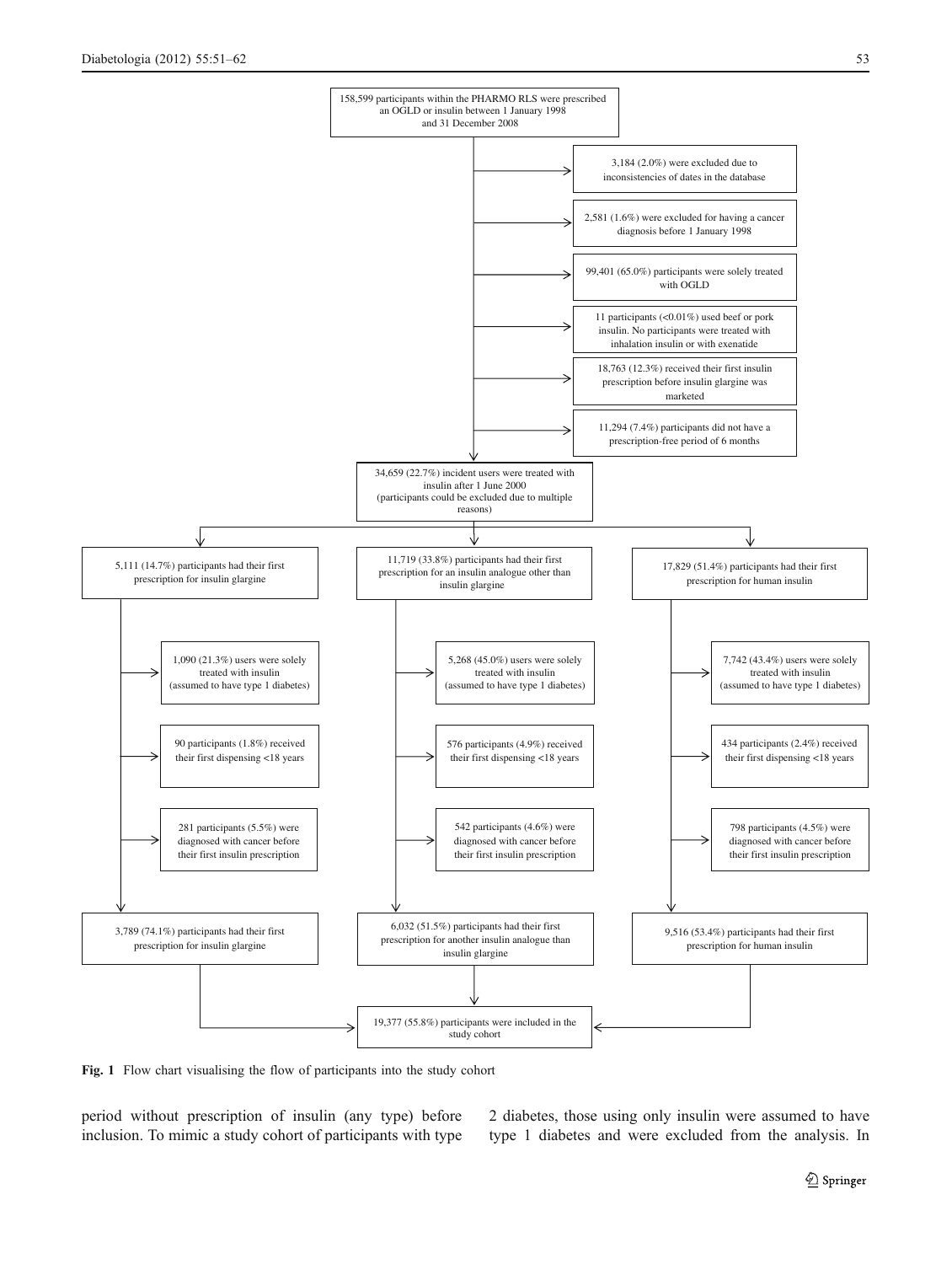<span id="page-2-0"></span>

Fig. 1 Flow chart visualising the flow of participants into the study cohort

period without prescription of insulin (any type) before inclusion. To mimic a study cohort of participants with type 2 diabetes, those using only insulin were assumed to have type 1 diabetes and were excluded from the analysis. In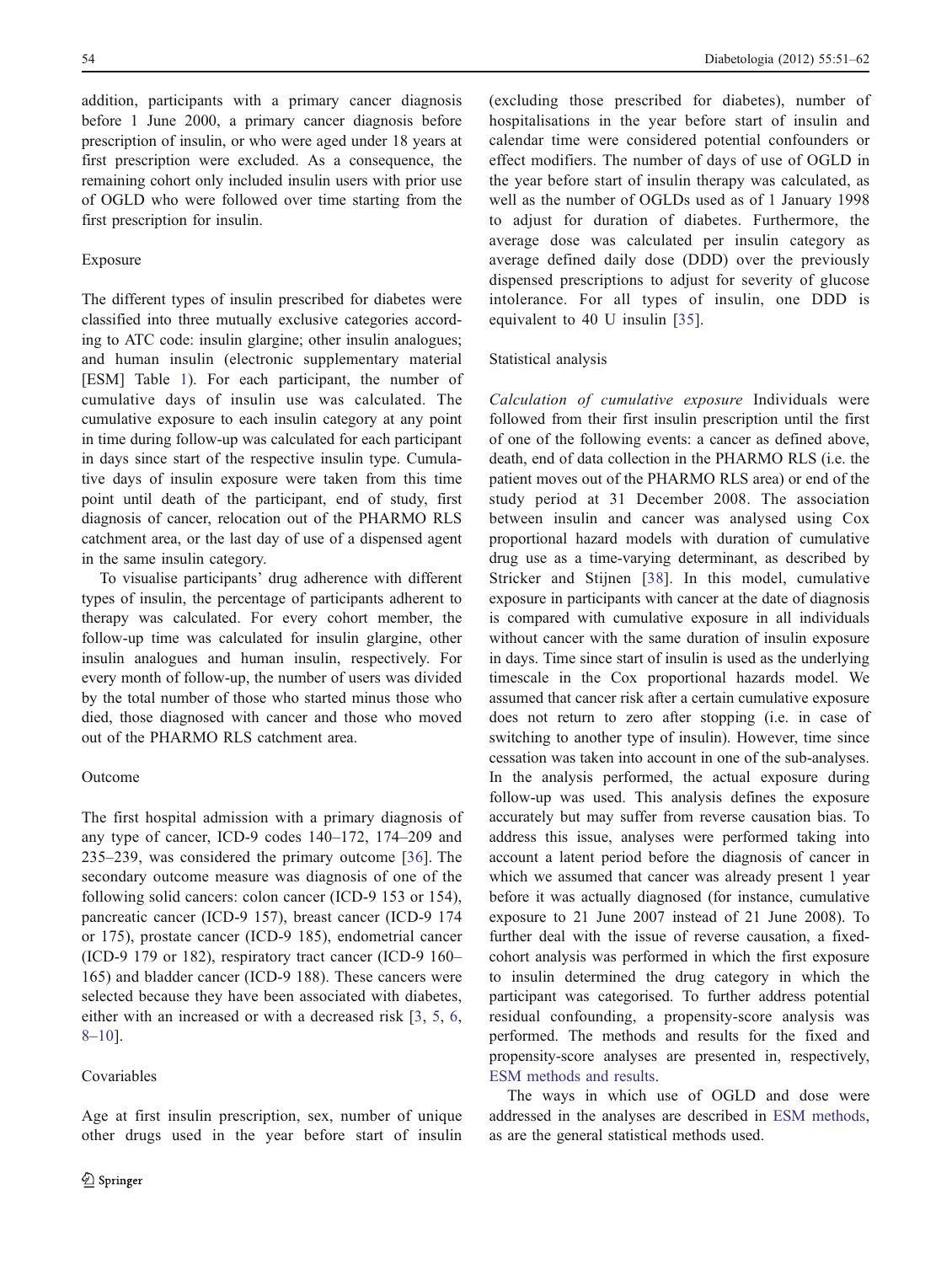addition, participants with a primary cancer diagnosis before 1 June 2000, a primary cancer diagnosis before prescription of insulin, or who were aged under 18 years at first prescription were excluded. As a consequence, the remaining cohort only included insulin users with prior use of OGLD who were followed over time starting from the first prescription for insulin.

# Exposure

The different types of insulin prescribed for diabetes were classified into three mutually exclusive categories according to ATC code: insulin glargine; other insulin analogues; and human insulin (electronic supplementary material [ESM] Table 1). For each participant, the number of cumulative days of insulin use was calculated. The cumulative exposure to each insulin category at any point in time during follow-up was calculated for each participant in days since start of the respective insulin type. Cumulative days of insulin exposure were taken from this time point until death of the participant, end of study, first diagnosis of cancer, relocation out of the PHARMO RLS catchment area, or the last day of use of a dispensed agent in the same insulin category.

To visualise participants' drug adherence with different types of insulin, the percentage of participants adherent to therapy was calculated. For every cohort member, the follow-up time was calculated for insulin glargine, other insulin analogues and human insulin, respectively. For every month of follow-up, the number of users was divided by the total number of those who started minus those who died, those diagnosed with cancer and those who moved out of the PHARMO RLS catchment area.

# **Outcome**

The first hospital admission with a primary diagnosis of any type of cancer, ICD-9 codes 140–172, 174–209 and 235–239, was considered the primary outcome [[36\]](#page-10-0). The secondary outcome measure was diagnosis of one of the following solid cancers: colon cancer (ICD-9 153 or 154), pancreatic cancer (ICD-9 157), breast cancer (ICD-9 174 or 175), prostate cancer (ICD-9 185), endometrial cancer (ICD-9 179 or 182), respiratory tract cancer (ICD-9 160– 165) and bladder cancer (ICD-9 188). These cancers were selected because they have been associated with diabetes, either with an increased or with a decreased risk [\[3](#page-10-0), [5,](#page-10-0) [6,](#page-10-0) [8](#page-10-0)–[10](#page-10-0)].

### Covariables

Age at first insulin prescription, sex, number of unique other drugs used in the year before start of insulin (excluding those prescribed for diabetes), number of hospitalisations in the year before start of insulin and calendar time were considered potential confounders or effect modifiers. The number of days of use of OGLD in the year before start of insulin therapy was calculated, as well as the number of OGLDs used as of 1 January 1998 to adjust for duration of diabetes. Furthermore, the average dose was calculated per insulin category as average defined daily dose (DDD) over the previously dispensed prescriptions to adjust for severity of glucose intolerance. For all types of insulin, one DDD is equivalent to 40 U insulin [[35\]](#page-10-0).

### Statistical analysis

Calculation of cumulative exposure Individuals were followed from their first insulin prescription until the first of one of the following events: a cancer as defined above, death, end of data collection in the PHARMO RLS (i.e. the patient moves out of the PHARMO RLS area) or end of the study period at 31 December 2008. The association between insulin and cancer was analysed using Cox proportional hazard models with duration of cumulative drug use as a time-varying determinant, as described by Stricker and Stijnen [[38](#page-10-0)]. In this model, cumulative exposure in participants with cancer at the date of diagnosis is compared with cumulative exposure in all individuals without cancer with the same duration of insulin exposure in days. Time since start of insulin is used as the underlying timescale in the Cox proportional hazards model. We assumed that cancer risk after a certain cumulative exposure does not return to zero after stopping (i.e. in case of switching to another type of insulin). However, time since cessation was taken into account in one of the sub-analyses. In the analysis performed, the actual exposure during follow-up was used. This analysis defines the exposure accurately but may suffer from reverse causation bias. To address this issue, analyses were performed taking into account a latent period before the diagnosis of cancer in which we assumed that cancer was already present 1 year before it was actually diagnosed (for instance, cumulative exposure to 21 June 2007 instead of 21 June 2008). To further deal with the issue of reverse causation, a fixedcohort analysis was performed in which the first exposure to insulin determined the drug category in which the participant was categorised. To further address potential residual confounding, a propensity-score analysis was performed. The methods and results for the fixed and propensity-score analyses are presented in, respectively, ESM methods and results.

The ways in which use of OGLD and dose were addressed in the analyses are described in ESM methods, as are the general statistical methods used.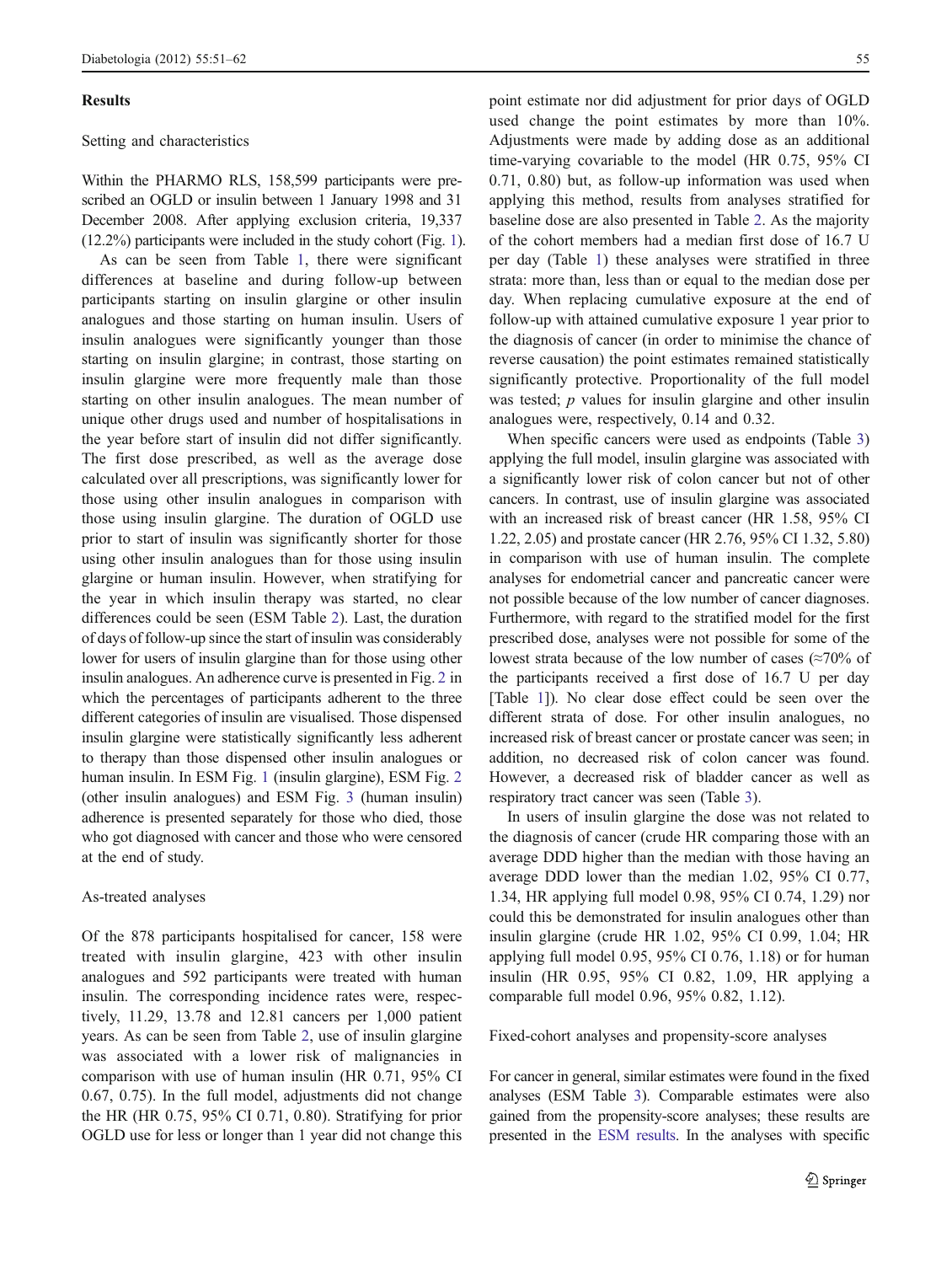#### **Results**

# Setting and characteristics

Within the PHARMO RLS, 158,599 participants were prescribed an OGLD or insulin between 1 January 1998 and 31 December 2008. After applying exclusion criteria, 19,337 (12.2%) participants were included in the study cohort (Fig. [1](#page-2-0)).

As can be seen from Table [1,](#page-5-0) there were significant differences at baseline and during follow-up between participants starting on insulin glargine or other insulin analogues and those starting on human insulin. Users of insulin analogues were significantly younger than those starting on insulin glargine; in contrast, those starting on insulin glargine were more frequently male than those starting on other insulin analogues. The mean number of unique other drugs used and number of hospitalisations in the year before start of insulin did not differ significantly. The first dose prescribed, as well as the average dose calculated over all prescriptions, was significantly lower for those using other insulin analogues in comparison with those using insulin glargine. The duration of OGLD use prior to start of insulin was significantly shorter for those using other insulin analogues than for those using insulin glargine or human insulin. However, when stratifying for the year in which insulin therapy was started, no clear differences could be seen (ESM Table 2). Last, the duration of days of follow-up since the start of insulin was considerably lower for users of insulin glargine than for those using other insulin analogues. An adherence curve is presented in Fig. [2](#page-5-0) in which the percentages of participants adherent to the three different categories of insulin are visualised. Those dispensed insulin glargine were statistically significantly less adherent to therapy than those dispensed other insulin analogues or human insulin. In ESM Fig. 1 (insulin glargine), ESM Fig. 2 (other insulin analogues) and ESM Fig. 3 (human insulin) adherence is presented separately for those who died, those who got diagnosed with cancer and those who were censored at the end of study.

# As-treated analyses

Of the 878 participants hospitalised for cancer, 158 were treated with insulin glargine, 423 with other insulin analogues and 592 participants were treated with human insulin. The corresponding incidence rates were, respectively, 11.29, 13.78 and 12.81 cancers per 1,000 patient years. As can be seen from Table [2,](#page-6-0) use of insulin glargine was associated with a lower risk of malignancies in comparison with use of human insulin (HR 0.71, 95% CI 0.67, 0.75). In the full model, adjustments did not change the HR (HR 0.75, 95% CI 0.71, 0.80). Stratifying for prior OGLD use for less or longer than 1 year did not change this point estimate nor did adjustment for prior days of OGLD used change the point estimates by more than 10%. Adjustments were made by adding dose as an additional time-varying covariable to the model (HR 0.75, 95% CI 0.71, 0.80) but, as follow-up information was used when applying this method, results from analyses stratified for baseline dose are also presented in Table [2.](#page-6-0) As the majority of the cohort members had a median first dose of 16.7 U per day (Table [1](#page-5-0)) these analyses were stratified in three strata: more than, less than or equal to the median dose per day. When replacing cumulative exposure at the end of follow-up with attained cumulative exposure 1 year prior to the diagnosis of cancer (in order to minimise the chance of reverse causation) the point estimates remained statistically significantly protective. Proportionality of the full model was tested; *p* values for insulin glargine and other insulin analogues were, respectively, 0.14 and 0.32.

When specific cancers were used as endpoints (Table [3](#page-7-0)) applying the full model, insulin glargine was associated with a significantly lower risk of colon cancer but not of other cancers. In contrast, use of insulin glargine was associated with an increased risk of breast cancer (HR 1.58, 95% CI 1.22, 2.05) and prostate cancer (HR 2.76, 95% CI 1.32, 5.80) in comparison with use of human insulin. The complete analyses for endometrial cancer and pancreatic cancer were not possible because of the low number of cancer diagnoses. Furthermore, with regard to the stratified model for the first prescribed dose, analyses were not possible for some of the lowest strata because of the low number of cases (≈70% of the participants received a first dose of 16.7 U per day [Table [1\]](#page-5-0)). No clear dose effect could be seen over the different strata of dose. For other insulin analogues, no increased risk of breast cancer or prostate cancer was seen; in addition, no decreased risk of colon cancer was found. However, a decreased risk of bladder cancer as well as respiratory tract cancer was seen (Table [3\)](#page-7-0).

In users of insulin glargine the dose was not related to the diagnosis of cancer (crude HR comparing those with an average DDD higher than the median with those having an average DDD lower than the median 1.02, 95% CI 0.77, 1.34, HR applying full model 0.98, 95% CI 0.74, 1.29) nor could this be demonstrated for insulin analogues other than insulin glargine (crude HR 1.02, 95% CI 0.99, 1.04; HR applying full model 0.95, 95% CI 0.76, 1.18) or for human insulin (HR 0.95, 95% CI 0.82, 1.09, HR applying a comparable full model 0.96, 95% 0.82, 1.12).

### Fixed-cohort analyses and propensity-score analyses

For cancer in general, similar estimates were found in the fixed analyses (ESM Table 3). Comparable estimates were also gained from the propensity-score analyses; these results are presented in the ESM results. In the analyses with specific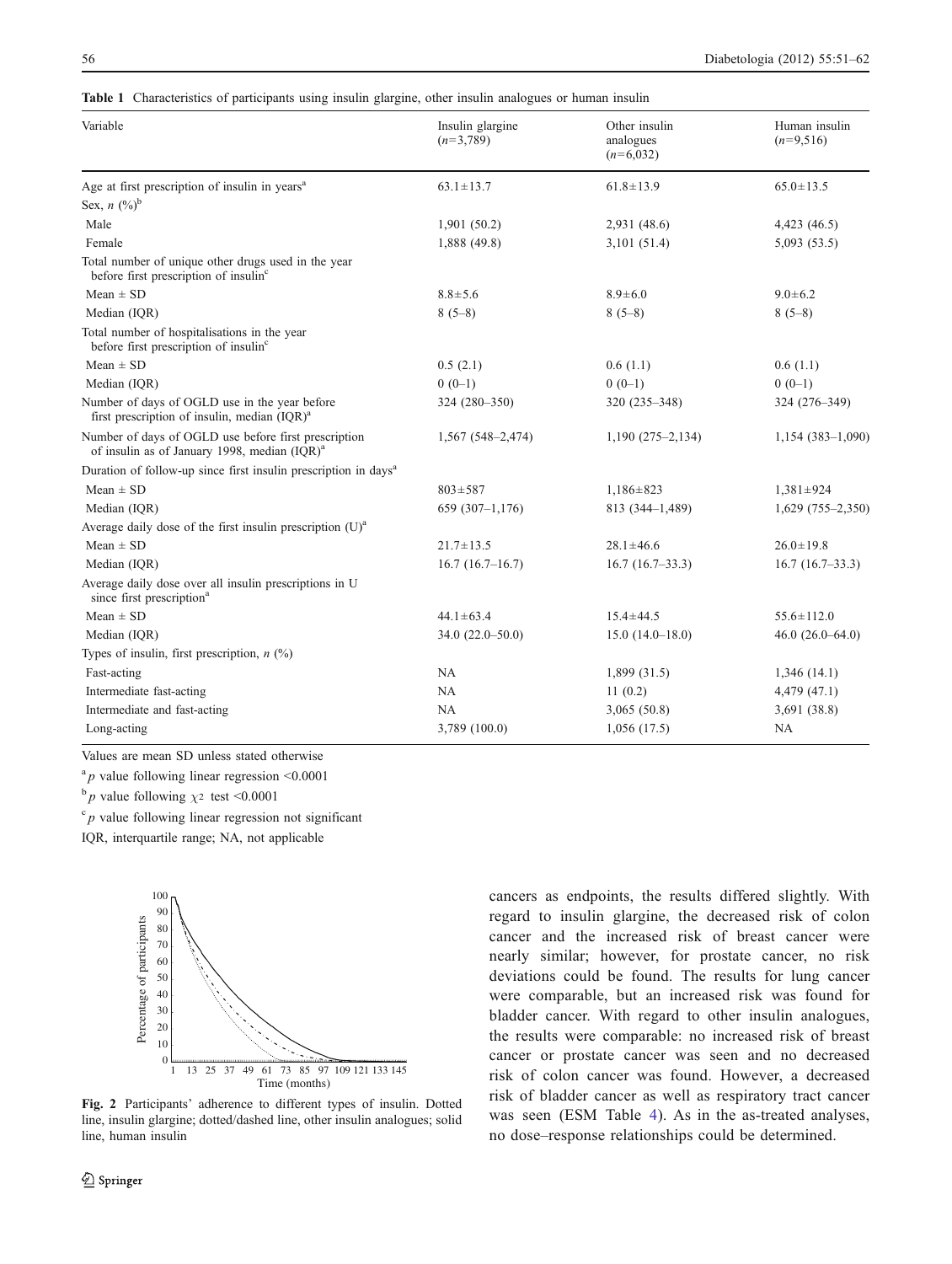<span id="page-5-0"></span>

|  | Table 1 Characteristics of participants using insulin glargine, other insulin analogues or human insulin |  |  |  |  |  |  |  |  |  |  |  |  |
|--|----------------------------------------------------------------------------------------------------------|--|--|--|--|--|--|--|--|--|--|--|--|
|--|----------------------------------------------------------------------------------------------------------|--|--|--|--|--|--|--|--|--|--|--|--|

| Age at first prescription of insulin in years <sup>a</sup><br>$61.8 \pm 13.9$<br>$63.1 \pm 13.7$<br>$65.0 \pm 13.5$<br>Sex, $n$ $(\%)^b$<br>Male<br>1,901(50.2)<br>2,931 (48.6)<br>4,423 (46.5)<br>Female<br>1,888 (49.8)<br>3,101(51.4)<br>5,093(53.5)<br>Total number of unique other drugs used in the year<br>before first prescription of insulin <sup>c</sup><br>Mean $\pm$ SD<br>$8.8 \pm 5.6$<br>$8.9 + 6.0$<br>$9.0 \pm 6.2$<br>Median (IQR)<br>$8(5-8)$<br>$8(5-8)$<br>$8(5-8)$<br>Total number of hospitalisations in the year<br>before first prescription of insulin <sup>c</sup><br>Mean $\pm$ SD<br>0.5(2.1)<br>0.6(1.1)<br>0.6(1.1)<br>Median (IOR)<br>$0(0-1)$<br>$0(0-1)$<br>$0(0-1)$<br>Number of days of OGLD use in the year before<br>324 (280-350)<br>320 (235-348)<br>first prescription of insulin, median (IQR) <sup>a</sup><br>Number of days of OGLD use before first prescription<br>$1,567$ (548-2,474)<br>$1,190(275-2,134)$<br>of insulin as of January 1998, median $( IQR)^a$<br>Duration of follow-up since first insulin prescription in days <sup>a</sup><br>Mean $\pm$ SD<br>$803 + 587$<br>$1,186 \pm 823$<br>$1,381 \pm 924$<br>659 (307-1,176)<br>Median (IQR)<br>813 (344-1,489)<br>Average daily dose of the first insulin prescription $(U)^a$<br>Mean $\pm$ SD<br>$26.0 \pm 19.8$<br>$21.7 \pm 13.5$<br>$28.1 \pm 46.6$<br>Median (IOR)<br>16.7(16.7–16.7)<br>$16.7(16.7-33.3)$<br>Average daily dose over all insulin prescriptions in U<br>since first prescription <sup>a</sup><br>Mean $\pm$ SD<br>$44.1 \pm 63.4$<br>$15.4 \pm 44.5$<br>$55.6 \pm 112.0$<br>Median (IQR)<br>$34.0(22.0 - 50.0)$<br>$15.0(14.0-18.0)$<br>Types of insulin, first prescription, $n$ (%)<br><b>NA</b> | Variable    | Insulin glargine<br>$(n=3,789)$ | Other insulin<br>analogues<br>$(n=6,032)$ | Human insulin<br>$(n=9,516)$ |
|--------------------------------------------------------------------------------------------------------------------------------------------------------------------------------------------------------------------------------------------------------------------------------------------------------------------------------------------------------------------------------------------------------------------------------------------------------------------------------------------------------------------------------------------------------------------------------------------------------------------------------------------------------------------------------------------------------------------------------------------------------------------------------------------------------------------------------------------------------------------------------------------------------------------------------------------------------------------------------------------------------------------------------------------------------------------------------------------------------------------------------------------------------------------------------------------------------------------------------------------------------------------------------------------------------------------------------------------------------------------------------------------------------------------------------------------------------------------------------------------------------------------------------------------------------------------------------------------------------------------------------------------------------------------------------------------------------------------------------------|-------------|---------------------------------|-------------------------------------------|------------------------------|
|                                                                                                                                                                                                                                                                                                                                                                                                                                                                                                                                                                                                                                                                                                                                                                                                                                                                                                                                                                                                                                                                                                                                                                                                                                                                                                                                                                                                                                                                                                                                                                                                                                                                                                                                      |             |                                 |                                           |                              |
|                                                                                                                                                                                                                                                                                                                                                                                                                                                                                                                                                                                                                                                                                                                                                                                                                                                                                                                                                                                                                                                                                                                                                                                                                                                                                                                                                                                                                                                                                                                                                                                                                                                                                                                                      |             |                                 |                                           |                              |
|                                                                                                                                                                                                                                                                                                                                                                                                                                                                                                                                                                                                                                                                                                                                                                                                                                                                                                                                                                                                                                                                                                                                                                                                                                                                                                                                                                                                                                                                                                                                                                                                                                                                                                                                      |             |                                 |                                           |                              |
|                                                                                                                                                                                                                                                                                                                                                                                                                                                                                                                                                                                                                                                                                                                                                                                                                                                                                                                                                                                                                                                                                                                                                                                                                                                                                                                                                                                                                                                                                                                                                                                                                                                                                                                                      |             |                                 |                                           |                              |
|                                                                                                                                                                                                                                                                                                                                                                                                                                                                                                                                                                                                                                                                                                                                                                                                                                                                                                                                                                                                                                                                                                                                                                                                                                                                                                                                                                                                                                                                                                                                                                                                                                                                                                                                      |             |                                 |                                           |                              |
|                                                                                                                                                                                                                                                                                                                                                                                                                                                                                                                                                                                                                                                                                                                                                                                                                                                                                                                                                                                                                                                                                                                                                                                                                                                                                                                                                                                                                                                                                                                                                                                                                                                                                                                                      |             |                                 |                                           |                              |
|                                                                                                                                                                                                                                                                                                                                                                                                                                                                                                                                                                                                                                                                                                                                                                                                                                                                                                                                                                                                                                                                                                                                                                                                                                                                                                                                                                                                                                                                                                                                                                                                                                                                                                                                      |             |                                 |                                           |                              |
|                                                                                                                                                                                                                                                                                                                                                                                                                                                                                                                                                                                                                                                                                                                                                                                                                                                                                                                                                                                                                                                                                                                                                                                                                                                                                                                                                                                                                                                                                                                                                                                                                                                                                                                                      |             |                                 |                                           |                              |
|                                                                                                                                                                                                                                                                                                                                                                                                                                                                                                                                                                                                                                                                                                                                                                                                                                                                                                                                                                                                                                                                                                                                                                                                                                                                                                                                                                                                                                                                                                                                                                                                                                                                                                                                      |             |                                 |                                           |                              |
|                                                                                                                                                                                                                                                                                                                                                                                                                                                                                                                                                                                                                                                                                                                                                                                                                                                                                                                                                                                                                                                                                                                                                                                                                                                                                                                                                                                                                                                                                                                                                                                                                                                                                                                                      |             |                                 |                                           |                              |
|                                                                                                                                                                                                                                                                                                                                                                                                                                                                                                                                                                                                                                                                                                                                                                                                                                                                                                                                                                                                                                                                                                                                                                                                                                                                                                                                                                                                                                                                                                                                                                                                                                                                                                                                      |             |                                 |                                           | 324 (276-349)                |
|                                                                                                                                                                                                                                                                                                                                                                                                                                                                                                                                                                                                                                                                                                                                                                                                                                                                                                                                                                                                                                                                                                                                                                                                                                                                                                                                                                                                                                                                                                                                                                                                                                                                                                                                      |             |                                 |                                           | $1,154$ (383-1,090)          |
|                                                                                                                                                                                                                                                                                                                                                                                                                                                                                                                                                                                                                                                                                                                                                                                                                                                                                                                                                                                                                                                                                                                                                                                                                                                                                                                                                                                                                                                                                                                                                                                                                                                                                                                                      |             |                                 |                                           |                              |
|                                                                                                                                                                                                                                                                                                                                                                                                                                                                                                                                                                                                                                                                                                                                                                                                                                                                                                                                                                                                                                                                                                                                                                                                                                                                                                                                                                                                                                                                                                                                                                                                                                                                                                                                      |             |                                 |                                           |                              |
|                                                                                                                                                                                                                                                                                                                                                                                                                                                                                                                                                                                                                                                                                                                                                                                                                                                                                                                                                                                                                                                                                                                                                                                                                                                                                                                                                                                                                                                                                                                                                                                                                                                                                                                                      |             |                                 |                                           | $1,629$ (755-2,350)          |
|                                                                                                                                                                                                                                                                                                                                                                                                                                                                                                                                                                                                                                                                                                                                                                                                                                                                                                                                                                                                                                                                                                                                                                                                                                                                                                                                                                                                                                                                                                                                                                                                                                                                                                                                      |             |                                 |                                           |                              |
|                                                                                                                                                                                                                                                                                                                                                                                                                                                                                                                                                                                                                                                                                                                                                                                                                                                                                                                                                                                                                                                                                                                                                                                                                                                                                                                                                                                                                                                                                                                                                                                                                                                                                                                                      |             |                                 |                                           |                              |
|                                                                                                                                                                                                                                                                                                                                                                                                                                                                                                                                                                                                                                                                                                                                                                                                                                                                                                                                                                                                                                                                                                                                                                                                                                                                                                                                                                                                                                                                                                                                                                                                                                                                                                                                      |             |                                 |                                           | $16.7(16.7-33.3)$            |
|                                                                                                                                                                                                                                                                                                                                                                                                                                                                                                                                                                                                                                                                                                                                                                                                                                                                                                                                                                                                                                                                                                                                                                                                                                                                                                                                                                                                                                                                                                                                                                                                                                                                                                                                      |             |                                 |                                           |                              |
|                                                                                                                                                                                                                                                                                                                                                                                                                                                                                                                                                                                                                                                                                                                                                                                                                                                                                                                                                                                                                                                                                                                                                                                                                                                                                                                                                                                                                                                                                                                                                                                                                                                                                                                                      |             |                                 |                                           |                              |
|                                                                                                                                                                                                                                                                                                                                                                                                                                                                                                                                                                                                                                                                                                                                                                                                                                                                                                                                                                                                                                                                                                                                                                                                                                                                                                                                                                                                                                                                                                                                                                                                                                                                                                                                      |             |                                 |                                           | $46.0(26.0-64.0)$            |
|                                                                                                                                                                                                                                                                                                                                                                                                                                                                                                                                                                                                                                                                                                                                                                                                                                                                                                                                                                                                                                                                                                                                                                                                                                                                                                                                                                                                                                                                                                                                                                                                                                                                                                                                      |             |                                 |                                           |                              |
|                                                                                                                                                                                                                                                                                                                                                                                                                                                                                                                                                                                                                                                                                                                                                                                                                                                                                                                                                                                                                                                                                                                                                                                                                                                                                                                                                                                                                                                                                                                                                                                                                                                                                                                                      | Fast-acting |                                 | 1,899(31.5)                               | 1,346(14.1)                  |
| Intermediate fast-acting<br><b>NA</b><br>11(0.2)<br>$4,479$ $(47.1)$                                                                                                                                                                                                                                                                                                                                                                                                                                                                                                                                                                                                                                                                                                                                                                                                                                                                                                                                                                                                                                                                                                                                                                                                                                                                                                                                                                                                                                                                                                                                                                                                                                                                 |             |                                 |                                           |                              |
| Intermediate and fast-acting<br><b>NA</b><br>3,065(50.8)<br>3,691 (38.8)                                                                                                                                                                                                                                                                                                                                                                                                                                                                                                                                                                                                                                                                                                                                                                                                                                                                                                                                                                                                                                                                                                                                                                                                                                                                                                                                                                                                                                                                                                                                                                                                                                                             |             |                                 |                                           |                              |
| Long-acting<br>1,056(17.5)<br><b>NA</b><br>3,789 (100.0)                                                                                                                                                                                                                                                                                                                                                                                                                                                                                                                                                                                                                                                                                                                                                                                                                                                                                                                                                                                                                                                                                                                                                                                                                                                                                                                                                                                                                                                                                                                                                                                                                                                                             |             |                                 |                                           |                              |

Values are mean SD unless stated otherwise

 ${}^{a}p$  value following linear regression <0.0001

 $b$  p value following  $\chi^2$  test <0.0001

 $\int_{0}^{\infty} p$  value following linear regression not significant

IQR, interquartile range; NA, not applicable



Fig. 2 Participants' adherence to different types of insulin. Dotted line, insulin glargine; dotted/dashed line, other insulin analogues; solid line, human insulin

cancers as endpoints, the results differed slightly. With regard to insulin glargine, the decreased risk of colon cancer and the increased risk of breast cancer were nearly similar; however, for prostate cancer, no risk deviations could be found. The results for lung cancer were comparable, but an increased risk was found for bladder cancer. With regard to other insulin analogues, the results were comparable: no increased risk of breast cancer or prostate cancer was seen and no decreased risk of colon cancer was found. However, a decreased risk of bladder cancer as well as respiratory tract cancer was seen (ESM Table 4). As in the as-treated analyses, no dose–response relationships could be determined.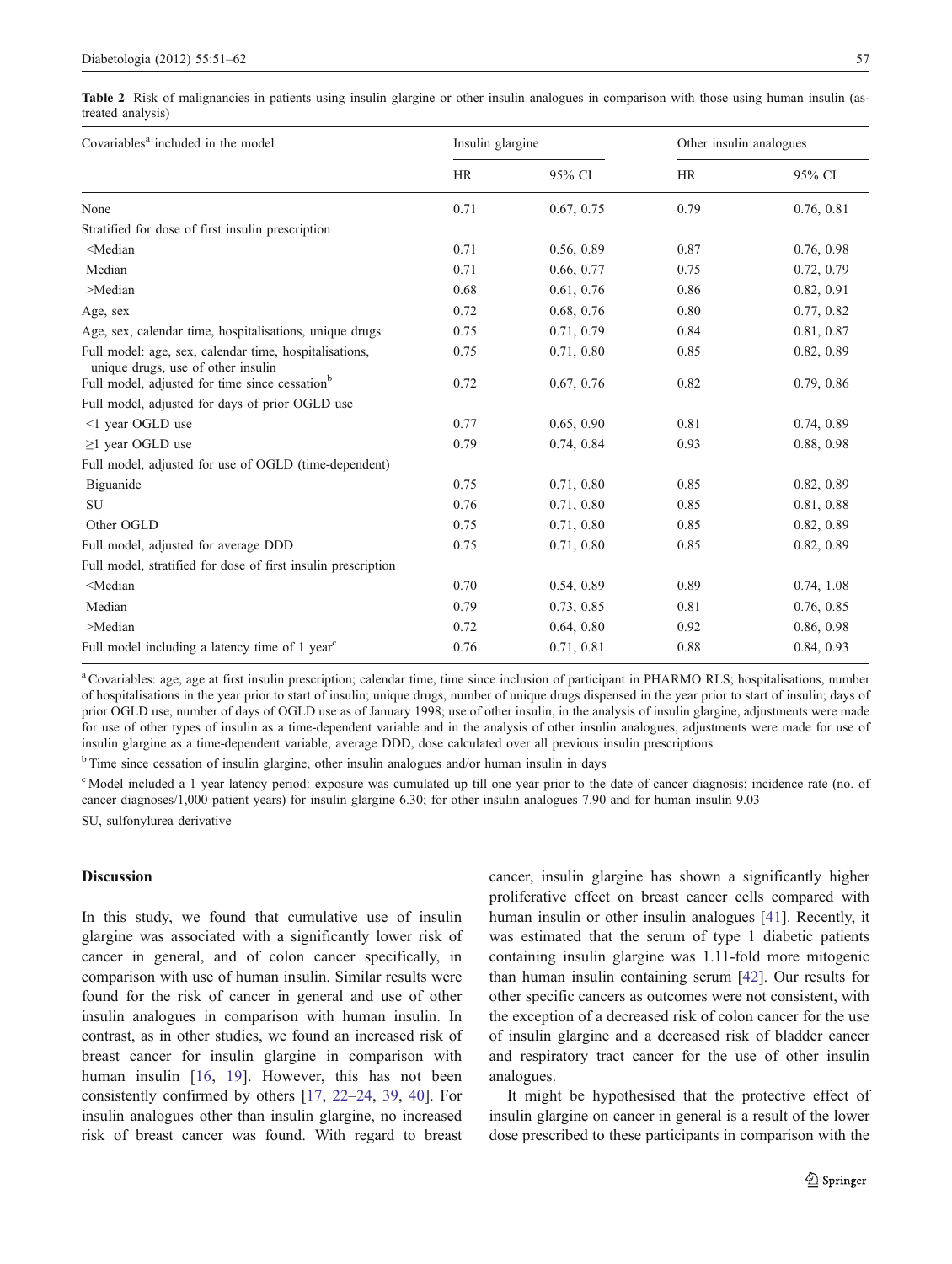<span id="page-6-0"></span>Table 2 Risk of malignancies in patients using insulin glargine or other insulin analogues in comparison with those using human insulin (astreated analysis)

| Covariables <sup>a</sup> included in the model                                               | Insulin glargine |            | Other insulin analogues |            |
|----------------------------------------------------------------------------------------------|------------------|------------|-------------------------|------------|
|                                                                                              | <b>HR</b>        | 95% CI     | <b>HR</b>               | 95% CI     |
| None                                                                                         | 0.71             | 0.67, 0.75 | 0.79                    | 0.76, 0.81 |
| Stratified for dose of first insulin prescription                                            |                  |            |                         |            |
| <median< td=""><td>0.71</td><td>0.56, 0.89</td><td>0.87</td><td>0.76, 0.98</td></median<>    | 0.71             | 0.56, 0.89 | 0.87                    | 0.76, 0.98 |
| Median                                                                                       | 0.71             | 0.66, 0.77 | 0.75                    | 0.72, 0.79 |
| $>$ Median                                                                                   | 0.68             | 0.61, 0.76 | 0.86                    | 0.82, 0.91 |
| Age, sex                                                                                     | 0.72             | 0.68, 0.76 | 0.80                    | 0.77, 0.82 |
| Age, sex, calendar time, hospitalisations, unique drugs                                      | 0.75             | 0.71, 0.79 | 0.84                    | 0.81, 0.87 |
| Full model: age, sex, calendar time, hospitalisations,<br>unique drugs, use of other insulin | 0.75             | 0.71, 0.80 | 0.85                    | 0.82, 0.89 |
| Full model, adjusted for time since cessation <sup>b</sup>                                   | 0.72             | 0.67, 0.76 | 0.82                    | 0.79, 0.86 |
| Full model, adjusted for days of prior OGLD use                                              |                  |            |                         |            |
| <1 year OGLD use                                                                             | 0.77             | 0.65, 0.90 | 0.81                    | 0.74, 0.89 |
| $\geq$ 1 year OGLD use                                                                       | 0.79             | 0.74, 0.84 | 0.93                    | 0.88, 0.98 |
| Full model, adjusted for use of OGLD (time-dependent)                                        |                  |            |                         |            |
| Biguanide                                                                                    | 0.75             | 0.71, 0.80 | 0.85                    | 0.82, 0.89 |
| <b>SU</b>                                                                                    | 0.76             | 0.71, 0.80 | 0.85                    | 0.81, 0.88 |
| Other OGLD                                                                                   | 0.75             | 0.71, 0.80 | 0.85                    | 0.82, 0.89 |
| Full model, adjusted for average DDD                                                         | 0.75             | 0.71, 0.80 | 0.85                    | 0.82, 0.89 |
| Full model, stratified for dose of first insulin prescription                                |                  |            |                         |            |
| <median< td=""><td>0.70</td><td>0.54, 0.89</td><td>0.89</td><td>0.74, 1.08</td></median<>    | 0.70             | 0.54, 0.89 | 0.89                    | 0.74, 1.08 |
| Median                                                                                       | 0.79             | 0.73, 0.85 | 0.81                    | 0.76, 0.85 |
| $>$ Median                                                                                   | 0.72             | 0.64, 0.80 | 0.92                    | 0.86, 0.98 |
| Full model including a latency time of 1 year <sup>c</sup>                                   | 0.76             | 0.71, 0.81 | 0.88                    | 0.84, 0.93 |

<sup>a</sup> Covariables: age, age at first insulin prescription; calendar time, time since inclusion of participant in PHARMO RLS; hospitalisations, number of hospitalisations in the year prior to start of insulin; unique drugs, number of unique drugs dispensed in the year prior to start of insulin; days of prior OGLD use, number of days of OGLD use as of January 1998; use of other insulin, in the analysis of insulin glargine, adjustments were made for use of other types of insulin as a time-dependent variable and in the analysis of other insulin analogues, adjustments were made for use of insulin glargine as a time-dependent variable; average DDD, dose calculated over all previous insulin prescriptions

<sup>b</sup> Time since cessation of insulin glargine, other insulin analogues and/or human insulin in days

<sup>c</sup> Model included a 1 year latency period: exposure was cumulated up till one year prior to the date of cancer diagnosis; incidence rate (no. of cancer diagnoses/1,000 patient years) for insulin glargine 6.30; for other insulin analogues 7.90 and for human insulin 9.03

SU, sulfonylurea derivative

# Discussion

In this study, we found that cumulative use of insulin glargine was associated with a significantly lower risk of cancer in general, and of colon cancer specifically, in comparison with use of human insulin. Similar results were found for the risk of cancer in general and use of other insulin analogues in comparison with human insulin. In contrast, as in other studies, we found an increased risk of breast cancer for insulin glargine in comparison with human insulin [\[16,](#page-10-0) [19\]](#page-10-0). However, this has not been consistently confirmed by others [[17,](#page-10-0) [22](#page-10-0)–[24](#page-10-0), [39](#page-11-0), [40\]](#page-11-0). For insulin analogues other than insulin glargine, no increased risk of breast cancer was found. With regard to breast

cancer, insulin glargine has shown a significantly higher proliferative effect on breast cancer cells compared with human insulin or other insulin analogues [\[41](#page-11-0)]. Recently, it was estimated that the serum of type 1 diabetic patients containing insulin glargine was 1.11-fold more mitogenic than human insulin containing serum [[42\]](#page-11-0). Our results for other specific cancers as outcomes were not consistent, with the exception of a decreased risk of colon cancer for the use of insulin glargine and a decreased risk of bladder cancer and respiratory tract cancer for the use of other insulin analogues.

It might be hypothesised that the protective effect of insulin glargine on cancer in general is a result of the lower dose prescribed to these participants in comparison with the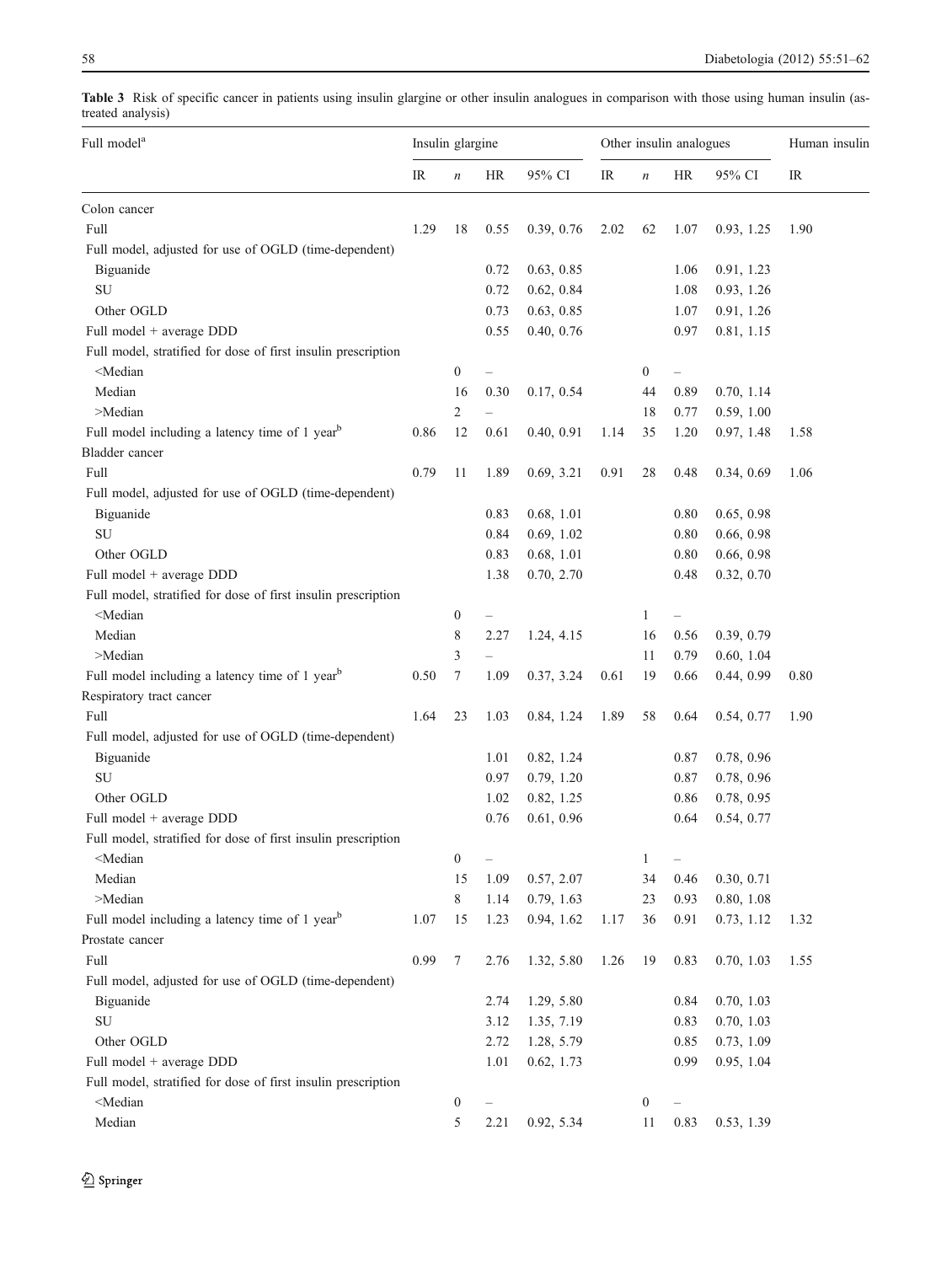<span id="page-7-0"></span>

|                   |  |  |  |  |  |  |  | Table 3 Risk of specific cancer in patients using insulin glargine or other insulin analogues in comparison with those using human insulin (as- |
|-------------------|--|--|--|--|--|--|--|-------------------------------------------------------------------------------------------------------------------------------------------------|
| treated analysis) |  |  |  |  |  |  |  |                                                                                                                                                 |
|                   |  |  |  |  |  |  |  |                                                                                                                                                 |

| Full model <sup>a</sup>                                                                                                                                                                                               | Insulin glargine |                  |                          |            | Other insulin analogues |                  | Human insulin            |            |      |
|-----------------------------------------------------------------------------------------------------------------------------------------------------------------------------------------------------------------------|------------------|------------------|--------------------------|------------|-------------------------|------------------|--------------------------|------------|------|
|                                                                                                                                                                                                                       | IR               | n                | HR                       | 95% CI     | IR                      | $\boldsymbol{n}$ | HR                       | 95% CI     | IR   |
| Colon cancer                                                                                                                                                                                                          |                  |                  |                          |            |                         |                  |                          |            |      |
| Full                                                                                                                                                                                                                  | 1.29             | 18               | 0.55                     | 0.39, 0.76 | 2.02                    | 62               | 1.07                     | 0.93, 1.25 | 1.90 |
| Full model, adjusted for use of OGLD (time-dependent)                                                                                                                                                                 |                  |                  |                          |            |                         |                  |                          |            |      |
| Biguanide                                                                                                                                                                                                             |                  |                  | 0.72                     | 0.63, 0.85 |                         |                  | 1.06                     | 0.91, 1.23 |      |
| SU                                                                                                                                                                                                                    |                  |                  | 0.72                     | 0.62, 0.84 |                         |                  | 1.08                     | 0.93, 1.26 |      |
| Other OGLD                                                                                                                                                                                                            |                  |                  | 0.73                     | 0.63, 0.85 |                         |                  | 1.07                     | 0.91, 1.26 |      |
| Full model + average DDD                                                                                                                                                                                              |                  |                  | 0.55                     | 0.40, 0.76 |                         |                  | 0.97                     | 0.81, 1.15 |      |
| Full model, stratified for dose of first insulin prescription                                                                                                                                                         |                  |                  |                          |            |                         |                  |                          |            |      |
| <median< td=""><td></td><td><math>\boldsymbol{0}</math></td><td></td><td></td><td></td><td><math>\boldsymbol{0}</math></td><td></td><td></td><td></td></median<>                                                      |                  | $\boldsymbol{0}$ |                          |            |                         | $\boldsymbol{0}$ |                          |            |      |
| Median                                                                                                                                                                                                                |                  | 16               | 0.30                     | 0.17, 0.54 |                         | 44               | 0.89                     | 0.70, 1.14 |      |
| $>$ Median                                                                                                                                                                                                            |                  | 2                |                          |            |                         | 18               | 0.77                     | 0.59, 1.00 |      |
| Full model including a latency time of 1 year <sup>b</sup>                                                                                                                                                            | 0.86             | 12               | 0.61                     | 0.40, 0.91 | 1.14                    | 35               | 1.20                     | 0.97, 1.48 | 1.58 |
| <b>Bladder</b> cancer                                                                                                                                                                                                 |                  |                  |                          |            |                         |                  |                          |            |      |
| Full                                                                                                                                                                                                                  | 0.79             | 11               | 1.89                     | 0.69, 3.21 | 0.91                    | 28               | 0.48                     | 0.34, 0.69 | 1.06 |
| Full model, adjusted for use of OGLD (time-dependent)                                                                                                                                                                 |                  |                  |                          |            |                         |                  |                          |            |      |
| Biguanide                                                                                                                                                                                                             |                  |                  | 0.83                     | 0.68, 1.01 |                         |                  | 0.80                     | 0.65, 0.98 |      |
| SU                                                                                                                                                                                                                    |                  |                  | 0.84                     | 0.69, 1.02 |                         |                  | 0.80                     | 0.66, 0.98 |      |
| Other OGLD                                                                                                                                                                                                            |                  |                  | 0.83                     | 0.68, 1.01 |                         |                  | 0.80                     | 0.66, 0.98 |      |
| Full model + average DDD                                                                                                                                                                                              |                  |                  | 1.38                     | 0.70, 2.70 |                         |                  | 0.48                     | 0.32, 0.70 |      |
| Full model, stratified for dose of first insulin prescription                                                                                                                                                         |                  |                  |                          |            |                         |                  |                          |            |      |
| <median< td=""><td></td><td><math>\boldsymbol{0}</math></td><td><math display="block">\qquad \qquad -</math></td><td></td><td></td><td>1</td><td><math>\overline{\phantom{0}}</math></td><td></td><td></td></median<> |                  | $\boldsymbol{0}$ | $\qquad \qquad -$        |            |                         | 1                | $\overline{\phantom{0}}$ |            |      |
| Median                                                                                                                                                                                                                |                  | 8                | 2.27                     | 1.24, 4.15 |                         | 16               | 0.56                     | 0.39, 0.79 |      |
| $>$ Median                                                                                                                                                                                                            |                  | 3                |                          |            |                         | 11               | 0.79                     | 0.60, 1.04 |      |
| Full model including a latency time of 1 year <sup>b</sup>                                                                                                                                                            | 0.50             | 7                | 1.09                     | 0.37, 3.24 | 0.61                    | 19               | 0.66                     | 0.44, 0.99 | 0.80 |
| Respiratory tract cancer                                                                                                                                                                                              |                  |                  |                          |            |                         |                  |                          |            |      |
| Full                                                                                                                                                                                                                  | 1.64             | 23               | 1.03                     | 0.84, 1.24 | 1.89                    | 58               | 0.64                     | 0.54, 0.77 | 1.90 |
| Full model, adjusted for use of OGLD (time-dependent)                                                                                                                                                                 |                  |                  |                          |            |                         |                  |                          |            |      |
| Biguanide                                                                                                                                                                                                             |                  |                  | 1.01                     | 0.82, 1.24 |                         |                  | 0.87                     | 0.78, 0.96 |      |
| SU                                                                                                                                                                                                                    |                  |                  | 0.97                     | 0.79, 1.20 |                         |                  | 0.87                     | 0.78, 0.96 |      |
| Other OGLD                                                                                                                                                                                                            |                  |                  | 1.02                     | 0.82, 1.25 |                         |                  | 0.86                     | 0.78, 0.95 |      |
| Full model + average DDD                                                                                                                                                                                              |                  |                  | 0.76                     | 0.61, 0.96 |                         |                  | 0.64                     | 0.54, 0.77 |      |
| Full model, stratified for dose of first insulin prescription                                                                                                                                                         |                  |                  |                          |            |                         |                  |                          |            |      |
| <median< td=""><td></td><td><math>\boldsymbol{0}</math></td><td><math display="block">\overline{\phantom{0}}</math></td><td></td><td></td><td>1</td><td>-</td><td></td><td></td></median<>                            |                  | $\boldsymbol{0}$ | $\overline{\phantom{0}}$ |            |                         | 1                | -                        |            |      |
| Median                                                                                                                                                                                                                |                  | 15               | 1.09                     | 0.57, 2.07 |                         | 34               | 0.46                     | 0.30, 0.71 |      |
| >Median                                                                                                                                                                                                               |                  | 8                | 1.14                     | 0.79, 1.63 |                         | 23               | 0.93                     | 0.80, 1.08 |      |
| Full model including a latency time of 1 year <sup>b</sup>                                                                                                                                                            | 1.07             | 15               | 1.23                     | 0.94, 1.62 | 1.17                    | 36               | 0.91                     | 0.73, 1.12 | 1.32 |
| Prostate cancer                                                                                                                                                                                                       |                  |                  |                          |            |                         |                  |                          |            |      |
| Full                                                                                                                                                                                                                  | 0.99             | 7                | 2.76                     | 1.32, 5.80 | 1.26                    | 19               | 0.83                     | 0.70, 1.03 | 1.55 |
| Full model, adjusted for use of OGLD (time-dependent)                                                                                                                                                                 |                  |                  |                          |            |                         |                  |                          |            |      |
| Biguanide                                                                                                                                                                                                             |                  |                  | 2.74                     | 1.29, 5.80 |                         |                  | 0.84                     | 0.70, 1.03 |      |
| SU                                                                                                                                                                                                                    |                  |                  | 3.12                     | 1.35, 7.19 |                         |                  | 0.83                     | 0.70, 1.03 |      |
| Other OGLD                                                                                                                                                                                                            |                  |                  | 2.72                     | 1.28, 5.79 |                         |                  | 0.85                     | 0.73, 1.09 |      |
| Full model + average DDD                                                                                                                                                                                              |                  |                  | 1.01                     | 0.62, 1.73 |                         |                  | 0.99                     | 0.95, 1.04 |      |
| Full model, stratified for dose of first insulin prescription                                                                                                                                                         |                  |                  |                          |            |                         |                  |                          |            |      |
| <median< td=""><td></td><td><math>\boldsymbol{0}</math></td><td></td><td></td><td></td><td><math display="inline">\boldsymbol{0}</math></td><td></td><td></td><td></td></median<>                                     |                  | $\boldsymbol{0}$ |                          |            |                         | $\boldsymbol{0}$ |                          |            |      |
| Median                                                                                                                                                                                                                |                  | 5                | 2.21                     | 0.92, 5.34 |                         | 11               | 0.83                     | 0.53, 1.39 |      |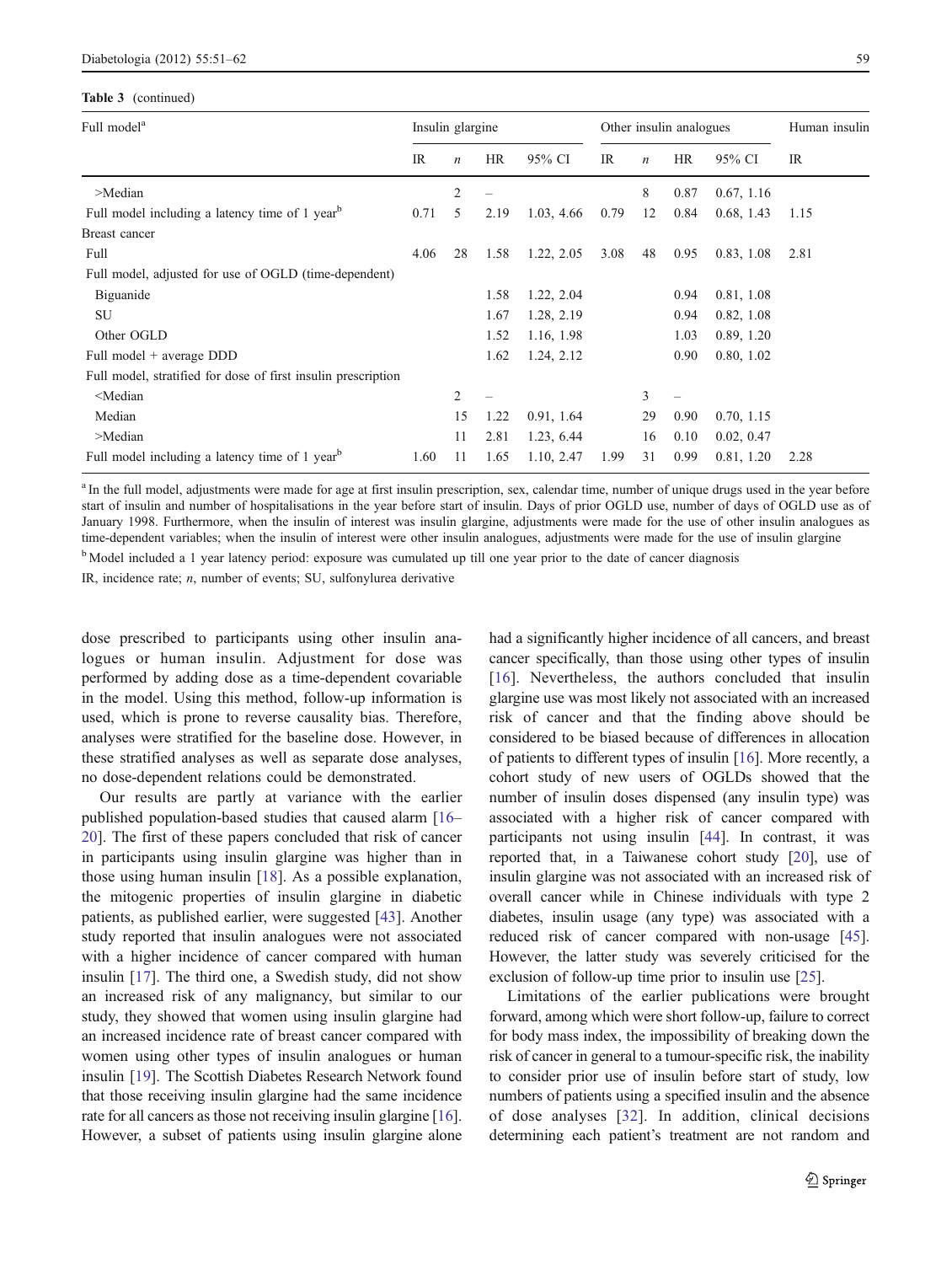#### Table 3 (continued)

| Full model <sup>a</sup>                                                                                                                                                                 | Insulin glargine |                  |      |            | Other insulin analogues |                  |                          |            | Human insulin |  |
|-----------------------------------------------------------------------------------------------------------------------------------------------------------------------------------------|------------------|------------------|------|------------|-------------------------|------------------|--------------------------|------------|---------------|--|
|                                                                                                                                                                                         | IR               | $\boldsymbol{n}$ | HR   | 95% CI     | $_{\rm IR}$             | $\boldsymbol{n}$ | HR                       | 95% CI     | IR            |  |
| $>$ Median                                                                                                                                                                              |                  | 2                |      |            |                         | 8                | 0.87                     | 0.67, 1.16 |               |  |
| Full model including a latency time of 1 year <sup>b</sup>                                                                                                                              | 0.71             | 5                | 2.19 | 1.03, 4.66 | 0.79                    | 12               | 0.84                     | 0.68, 1.43 | 1.15          |  |
| <b>Breast cancer</b>                                                                                                                                                                    |                  |                  |      |            |                         |                  |                          |            |               |  |
| Full                                                                                                                                                                                    | 4.06             | 28               | 1.58 | 1.22, 2.05 | 3.08                    | 48               | 0.95                     | 0.83, 1.08 | 2.81          |  |
| Full model, adjusted for use of OGLD (time-dependent)                                                                                                                                   |                  |                  |      |            |                         |                  |                          |            |               |  |
| Biguanide                                                                                                                                                                               |                  |                  | 1.58 | 1.22, 2.04 |                         |                  | 0.94                     | 0.81, 1.08 |               |  |
| SU                                                                                                                                                                                      |                  |                  | 1.67 | 1.28, 2.19 |                         |                  | 0.94                     | 0.82, 1.08 |               |  |
| Other OGLD                                                                                                                                                                              |                  |                  | 1.52 | 1.16, 1.98 |                         |                  | 1.03                     | 0.89, 1.20 |               |  |
| Full model + average DDD                                                                                                                                                                |                  |                  | 1.62 | 1.24, 2.12 |                         |                  | 0.90                     | 0.80, 1.02 |               |  |
| Full model, stratified for dose of first insulin prescription                                                                                                                           |                  |                  |      |            |                         |                  |                          |            |               |  |
| <median< td=""><td></td><td><math>\overline{c}</math></td><td></td><td></td><td></td><td>3</td><td><math display="block">\overline{\phantom{m}}</math></td><td></td><td></td></median<> |                  | $\overline{c}$   |      |            |                         | 3                | $\overline{\phantom{m}}$ |            |               |  |
| Median                                                                                                                                                                                  |                  | 15               | 1.22 | 0.91, 1.64 |                         | 29               | 0.90                     | 0.70, 1.15 |               |  |
| >Median                                                                                                                                                                                 |                  | 11               | 2.81 | 1.23, 6.44 |                         | 16               | 0.10                     | 0.02, 0.47 |               |  |
| Full model including a latency time of 1 year <sup>b</sup>                                                                                                                              | 1.60             | 11               | 1.65 | 1.10, 2.47 | 1.99                    | 31               | 0.99                     | 0.81, 1.20 | 2.28          |  |

<sup>a</sup> In the full model, adjustments were made for age at first insulin prescription, sex, calendar time, number of unique drugs used in the year before start of insulin and number of hospitalisations in the year before start of insulin. Days of prior OGLD use, number of days of OGLD use as of January 1998. Furthermore, when the insulin of interest was insulin glargine, adjustments were made for the use of other insulin analogues as time-dependent variables; when the insulin of interest were other insulin analogues, adjustments were made for the use of insulin glargine

<sup>b</sup> Model included a 1 year latency period: exposure was cumulated up till one year prior to the date of cancer diagnosis

IR, incidence rate; n, number of events; SU, sulfonylurea derivative

dose prescribed to participants using other insulin analogues or human insulin. Adjustment for dose was performed by adding dose as a time-dependent covariable in the model. Using this method, follow-up information is used, which is prone to reverse causality bias. Therefore, analyses were stratified for the baseline dose. However, in these stratified analyses as well as separate dose analyses, no dose-dependent relations could be demonstrated.

Our results are partly at variance with the earlier published population-based studies that caused alarm [\[16](#page-10-0)– [20](#page-10-0)]. The first of these papers concluded that risk of cancer in participants using insulin glargine was higher than in those using human insulin [[18\]](#page-10-0). As a possible explanation, the mitogenic properties of insulin glargine in diabetic patients, as published earlier, were suggested [[43\]](#page-11-0). Another study reported that insulin analogues were not associated with a higher incidence of cancer compared with human insulin [[17\]](#page-10-0). The third one, a Swedish study, did not show an increased risk of any malignancy, but similar to our study, they showed that women using insulin glargine had an increased incidence rate of breast cancer compared with women using other types of insulin analogues or human insulin [[19\]](#page-10-0). The Scottish Diabetes Research Network found that those receiving insulin glargine had the same incidence rate for all cancers as those not receiving insulin glargine [[16\]](#page-10-0). However, a subset of patients using insulin glargine alone had a significantly higher incidence of all cancers, and breast cancer specifically, than those using other types of insulin [\[16\]](#page-10-0). Nevertheless, the authors concluded that insulin glargine use was most likely not associated with an increased risk of cancer and that the finding above should be considered to be biased because of differences in allocation of patients to different types of insulin [\[16](#page-10-0)]. More recently, a cohort study of new users of OGLDs showed that the number of insulin doses dispensed (any insulin type) was associated with a higher risk of cancer compared with participants not using insulin [\[44\]](#page-11-0). In contrast, it was reported that, in a Taiwanese cohort study [\[20](#page-10-0)], use of insulin glargine was not associated with an increased risk of overall cancer while in Chinese individuals with type 2 diabetes, insulin usage (any type) was associated with a reduced risk of cancer compared with non-usage [[45\]](#page-11-0). However, the latter study was severely criticised for the exclusion of follow-up time prior to insulin use [\[25\]](#page-10-0).

Limitations of the earlier publications were brought forward, among which were short follow-up, failure to correct for body mass index, the impossibility of breaking down the risk of cancer in general to a tumour-specific risk, the inability to consider prior use of insulin before start of study, low numbers of patients using a specified insulin and the absence of dose analyses [[32](#page-10-0)]. In addition, clinical decisions determining each patient's treatment are not random and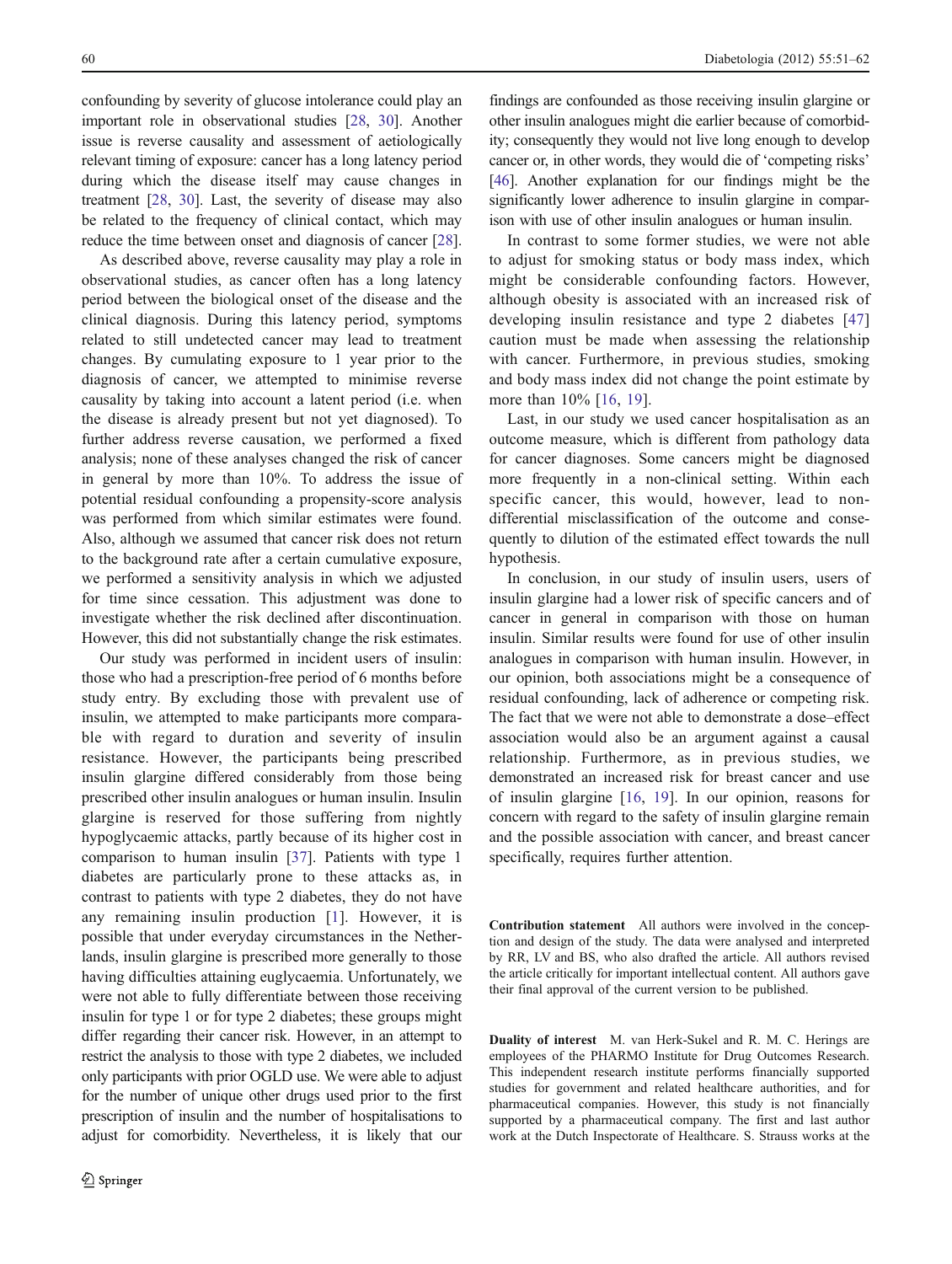confounding by severity of glucose intolerance could play an important role in observational studies [\[28,](#page-10-0) [30](#page-10-0)]. Another issue is reverse causality and assessment of aetiologically relevant timing of exposure: cancer has a long latency period during which the disease itself may cause changes in treatment [\[28,](#page-10-0) [30\]](#page-10-0). Last, the severity of disease may also be related to the frequency of clinical contact, which may reduce the time between onset and diagnosis of cancer [[28\]](#page-10-0).

As described above, reverse causality may play a role in observational studies, as cancer often has a long latency period between the biological onset of the disease and the clinical diagnosis. During this latency period, symptoms related to still undetected cancer may lead to treatment changes. By cumulating exposure to 1 year prior to the diagnosis of cancer, we attempted to minimise reverse causality by taking into account a latent period (i.e. when the disease is already present but not yet diagnosed). To further address reverse causation, we performed a fixed analysis; none of these analyses changed the risk of cancer in general by more than 10%. To address the issue of potential residual confounding a propensity-score analysis was performed from which similar estimates were found. Also, although we assumed that cancer risk does not return to the background rate after a certain cumulative exposure, we performed a sensitivity analysis in which we adjusted for time since cessation. This adjustment was done to investigate whether the risk declined after discontinuation. However, this did not substantially change the risk estimates.

Our study was performed in incident users of insulin: those who had a prescription-free period of 6 months before study entry. By excluding those with prevalent use of insulin, we attempted to make participants more comparable with regard to duration and severity of insulin resistance. However, the participants being prescribed insulin glargine differed considerably from those being prescribed other insulin analogues or human insulin. Insulin glargine is reserved for those suffering from nightly hypoglycaemic attacks, partly because of its higher cost in comparison to human insulin [\[37](#page-10-0)]. Patients with type 1 diabetes are particularly prone to these attacks as, in contrast to patients with type 2 diabetes, they do not have any remaining insulin production [\[1](#page-10-0)]. However, it is possible that under everyday circumstances in the Netherlands, insulin glargine is prescribed more generally to those having difficulties attaining euglycaemia. Unfortunately, we were not able to fully differentiate between those receiving insulin for type 1 or for type 2 diabetes; these groups might differ regarding their cancer risk. However, in an attempt to restrict the analysis to those with type 2 diabetes, we included only participants with prior OGLD use. We were able to adjust for the number of unique other drugs used prior to the first prescription of insulin and the number of hospitalisations to adjust for comorbidity. Nevertheless, it is likely that our

findings are confounded as those receiving insulin glargine or other insulin analogues might die earlier because of comorbidity; consequently they would not live long enough to develop cancer or, in other words, they would die of 'competing risks' [\[46\]](#page-11-0). Another explanation for our findings might be the significantly lower adherence to insulin glargine in comparison with use of other insulin analogues or human insulin.

In contrast to some former studies, we were not able to adjust for smoking status or body mass index, which might be considerable confounding factors. However, although obesity is associated with an increased risk of developing insulin resistance and type 2 diabetes [[47](#page-11-0)] caution must be made when assessing the relationship with cancer. Furthermore, in previous studies, smoking and body mass index did not change the point estimate by more than  $10\%$  [[16](#page-10-0), [19](#page-10-0)].

Last, in our study we used cancer hospitalisation as an outcome measure, which is different from pathology data for cancer diagnoses. Some cancers might be diagnosed more frequently in a non-clinical setting. Within each specific cancer, this would, however, lead to nondifferential misclassification of the outcome and consequently to dilution of the estimated effect towards the null hypothesis.

In conclusion, in our study of insulin users, users of insulin glargine had a lower risk of specific cancers and of cancer in general in comparison with those on human insulin. Similar results were found for use of other insulin analogues in comparison with human insulin. However, in our opinion, both associations might be a consequence of residual confounding, lack of adherence or competing risk. The fact that we were not able to demonstrate a dose–effect association would also be an argument against a causal relationship. Furthermore, as in previous studies, we demonstrated an increased risk for breast cancer and use of insulin glargine [\[16](#page-10-0), [19\]](#page-10-0). In our opinion, reasons for concern with regard to the safety of insulin glargine remain and the possible association with cancer, and breast cancer specifically, requires further attention.

Contribution statement All authors were involved in the conception and design of the study. The data were analysed and interpreted by RR, LV and BS, who also drafted the article. All authors revised the article critically for important intellectual content. All authors gave their final approval of the current version to be published.

Duality of interest M. van Herk-Sukel and R. M. C. Herings are employees of the PHARMO Institute for Drug Outcomes Research. This independent research institute performs financially supported studies for government and related healthcare authorities, and for pharmaceutical companies. However, this study is not financially supported by a pharmaceutical company. The first and last author work at the Dutch Inspectorate of Healthcare. S. Strauss works at the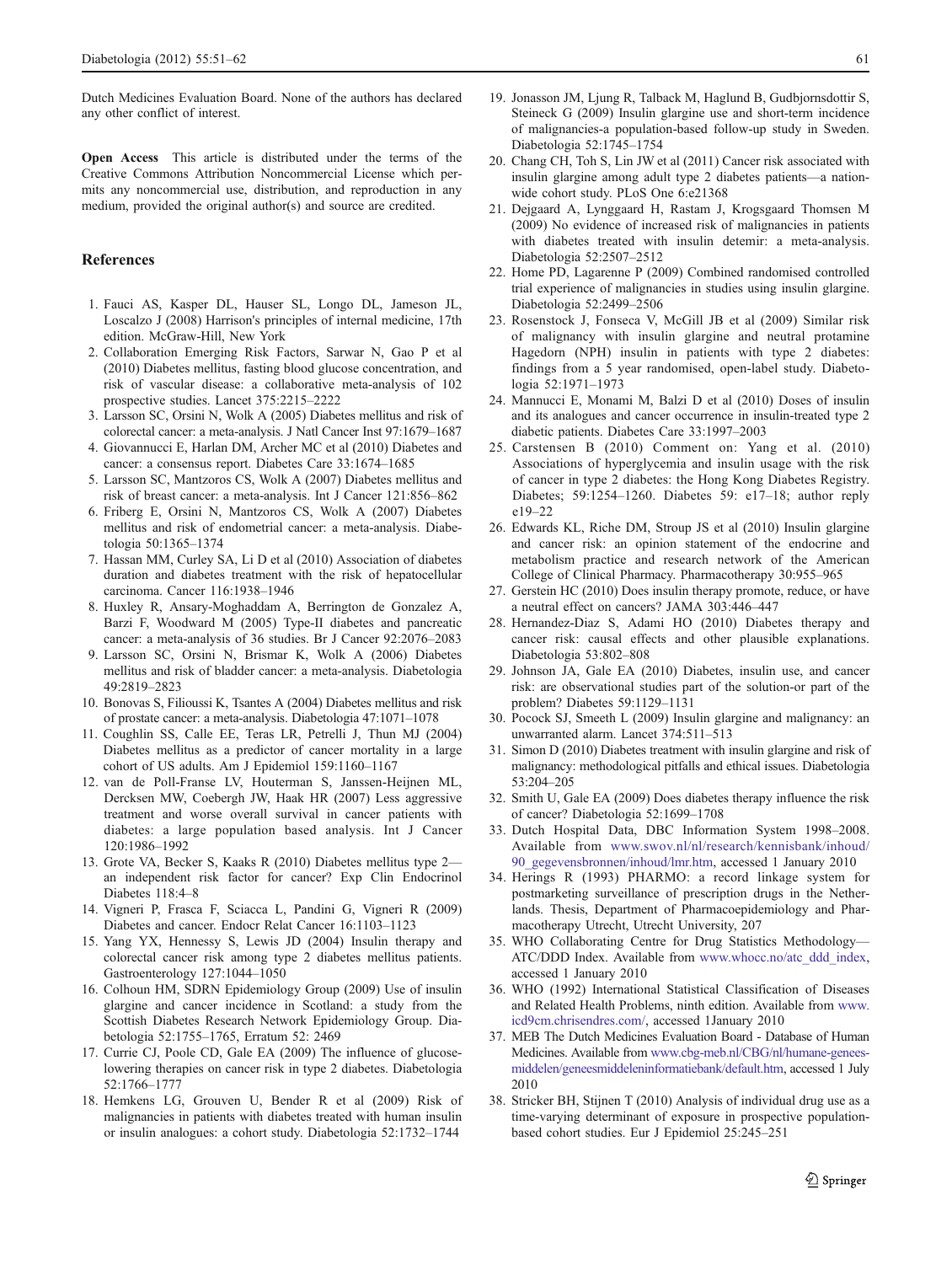<span id="page-10-0"></span>Dutch Medicines Evaluation Board. None of the authors has declared any other conflict of interest.

Open Access This article is distributed under the terms of the Creative Commons Attribution Noncommercial License which permits any noncommercial use, distribution, and reproduction in any medium, provided the original author(s) and source are credited.

#### References

- 1. Fauci AS, Kasper DL, Hauser SL, Longo DL, Jameson JL, Loscalzo J (2008) Harrison's principles of internal medicine, 17th edition. McGraw-Hill, New York
- 2. Collaboration Emerging Risk Factors, Sarwar N, Gao P et al (2010) Diabetes mellitus, fasting blood glucose concentration, and risk of vascular disease: a collaborative meta-analysis of 102 prospective studies. Lancet 375:2215–2222
- 3. Larsson SC, Orsini N, Wolk A (2005) Diabetes mellitus and risk of colorectal cancer: a meta-analysis. J Natl Cancer Inst 97:1679–1687
- 4. Giovannucci E, Harlan DM, Archer MC et al (2010) Diabetes and cancer: a consensus report. Diabetes Care 33:1674–1685
- 5. Larsson SC, Mantzoros CS, Wolk A (2007) Diabetes mellitus and risk of breast cancer: a meta-analysis. Int J Cancer 121:856–862
- 6. Friberg E, Orsini N, Mantzoros CS, Wolk A (2007) Diabetes mellitus and risk of endometrial cancer: a meta-analysis. Diabetologia 50:1365–1374
- 7. Hassan MM, Curley SA, Li D et al (2010) Association of diabetes duration and diabetes treatment with the risk of hepatocellular carcinoma. Cancer 116:1938–1946
- 8. Huxley R, Ansary-Moghaddam A, Berrington de Gonzalez A, Barzi F, Woodward M (2005) Type-II diabetes and pancreatic cancer: a meta-analysis of 36 studies. Br J Cancer 92:2076–2083
- 9. Larsson SC, Orsini N, Brismar K, Wolk A (2006) Diabetes mellitus and risk of bladder cancer: a meta-analysis. Diabetologia 49:2819–2823
- 10. Bonovas S, Filioussi K, Tsantes A (2004) Diabetes mellitus and risk of prostate cancer: a meta-analysis. Diabetologia 47:1071–1078
- 11. Coughlin SS, Calle EE, Teras LR, Petrelli J, Thun MJ (2004) Diabetes mellitus as a predictor of cancer mortality in a large cohort of US adults. Am J Epidemiol 159:1160–1167
- 12. van de Poll-Franse LV, Houterman S, Janssen-Heijnen ML, Dercksen MW, Coebergh JW, Haak HR (2007) Less aggressive treatment and worse overall survival in cancer patients with diabetes: a large population based analysis. Int J Cancer 120:1986–1992
- 13. Grote VA, Becker S, Kaaks R (2010) Diabetes mellitus type 2 an independent risk factor for cancer? Exp Clin Endocrinol Diabetes 118:4–8
- 14. Vigneri P, Frasca F, Sciacca L, Pandini G, Vigneri R (2009) Diabetes and cancer. Endocr Relat Cancer 16:1103–1123
- 15. Yang YX, Hennessy S, Lewis JD (2004) Insulin therapy and colorectal cancer risk among type 2 diabetes mellitus patients. Gastroenterology 127:1044–1050
- 16. Colhoun HM, SDRN Epidemiology Group (2009) Use of insulin glargine and cancer incidence in Scotland: a study from the Scottish Diabetes Research Network Epidemiology Group. Diabetologia 52:1755–1765, Erratum 52: 2469
- 17. Currie CJ, Poole CD, Gale EA (2009) The influence of glucoselowering therapies on cancer risk in type 2 diabetes. Diabetologia 52:1766–1777
- 18. Hemkens LG, Grouven U, Bender R et al (2009) Risk of malignancies in patients with diabetes treated with human insulin or insulin analogues: a cohort study. Diabetologia 52:1732–1744
- 20. Chang CH, Toh S, Lin JW et al (2011) Cancer risk associated with insulin glargine among adult type 2 diabetes patients—a nationwide cohort study. PLoS One 6:e21368
- 21. Dejgaard A, Lynggaard H, Rastam J, Krogsgaard Thomsen M (2009) No evidence of increased risk of malignancies in patients with diabetes treated with insulin detemir: a meta-analysis. Diabetologia 52:2507–2512
- 22. Home PD, Lagarenne P (2009) Combined randomised controlled trial experience of malignancies in studies using insulin glargine. Diabetologia 52:2499–2506
- 23. Rosenstock J, Fonseca V, McGill JB et al (2009) Similar risk of malignancy with insulin glargine and neutral protamine Hagedorn (NPH) insulin in patients with type 2 diabetes: findings from a 5 year randomised, open-label study. Diabetologia 52:1971–1973
- 24. Mannucci E, Monami M, Balzi D et al (2010) Doses of insulin and its analogues and cancer occurrence in insulin-treated type 2 diabetic patients. Diabetes Care 33:1997–2003
- 25. Carstensen B (2010) Comment on: Yang et al. (2010) Associations of hyperglycemia and insulin usage with the risk of cancer in type 2 diabetes: the Hong Kong Diabetes Registry. Diabetes; 59:1254–1260. Diabetes 59: e17–18; author reply e19–22
- 26. Edwards KL, Riche DM, Stroup JS et al (2010) Insulin glargine and cancer risk: an opinion statement of the endocrine and metabolism practice and research network of the American College of Clinical Pharmacy. Pharmacotherapy 30:955–965
- 27. Gerstein HC (2010) Does insulin therapy promote, reduce, or have a neutral effect on cancers? JAMA 303:446–447
- 28. Hernandez-Diaz S, Adami HO (2010) Diabetes therapy and cancer risk: causal effects and other plausible explanations. Diabetologia 53:802–808
- 29. Johnson JA, Gale EA (2010) Diabetes, insulin use, and cancer risk: are observational studies part of the solution-or part of the problem? Diabetes 59:1129–1131
- 30. Pocock SJ, Smeeth L (2009) Insulin glargine and malignancy: an unwarranted alarm. Lancet 374:511–513
- 31. Simon D (2010) Diabetes treatment with insulin glargine and risk of malignancy: methodological pitfalls and ethical issues. Diabetologia 53:204–205
- 32. Smith U, Gale EA (2009) Does diabetes therapy influence the risk of cancer? Diabetologia 52:1699–1708
- 33. Dutch Hospital Data, DBC Information System 1998–2008. Available from [www.swov.nl/nl/research/kennisbank/inhoud/](http://www.swov.nl/nl/research/kennisbank/inhoud/90_gegevensbronnen/inhoud/lmr.htm) [90\\_gegevensbronnen/inhoud/lmr.htm](http://www.swov.nl/nl/research/kennisbank/inhoud/90_gegevensbronnen/inhoud/lmr.htm), accessed 1 January 2010
- 34. Herings R (1993) PHARMO: a record linkage system for postmarketing surveillance of prescription drugs in the Netherlands. Thesis, Department of Pharmacoepidemiology and Pharmacotherapy Utrecht, Utrecht University, 207
- 35. WHO Collaborating Centre for Drug Statistics Methodology— ATC/DDD Index. Available from [www.whocc.no/atc\\_ddd\\_index](http://www.whocc.no/atc_ddd_index), accessed 1 January 2010
- 36. WHO (1992) International Statistical Classification of Diseases and Related Health Problems, ninth edition. Available from [www.](http://www.icd9cm.chrisendres.com/) [icd9cm.chrisendres.com/,](http://www.icd9cm.chrisendres.com/) accessed 1January 2010
- 37. MEB The Dutch Medicines Evaluation Board Database of Human Medicines. Available from [www.cbg-meb.nl/CBG/nl/humane-genees](http://www.cbg-meb.nl/CBG/nl/humane-geneesmiddelen/geneesmiddeleninformatiebank/default.htm)[middelen/geneesmiddeleninformatiebank/default.htm](http://www.cbg-meb.nl/CBG/nl/humane-geneesmiddelen/geneesmiddeleninformatiebank/default.htm), accessed 1 July 2010
- 38. Stricker BH, Stijnen T (2010) Analysis of individual drug use as a time-varying determinant of exposure in prospective populationbased cohort studies. Eur J Epidemiol 25:245–251